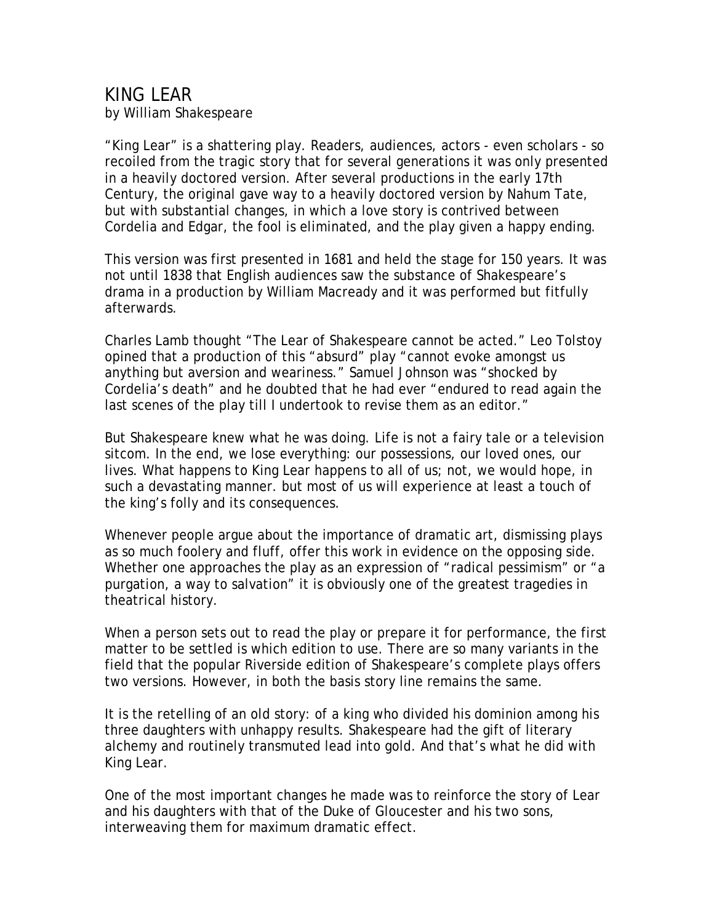## KING LEAR

by William Shakespeare

"King Lear" is a shattering play. Readers, audiences, actors - even scholars - so recoiled from the tragic story that for several generations it was only presented in a heavily doctored version. After several productions in the early 17th Century, the original gave way to a heavily doctored version by Nahum Tate, but with substantial changes, in which a love story is contrived between Cordelia and Edgar, the fool is eliminated, and the play given a happy ending.

This version was first presented in 1681 and held the stage for 150 years. It was not until 1838 that English audiences saw the substance of Shakespeare's drama in a production by William Macready and it was performed but fitfully afterwards.

Charles Lamb thought "The Lear of Shakespeare cannot be acted." Leo Tolstoy opined that a production of this "absurd" play "cannot evoke amongst us anything but aversion and weariness." Samuel Johnson was "shocked by Cordelia's death" and he doubted that he had ever "endured to read again the last scenes of the play till I undertook to revise them as an editor."

But Shakespeare knew what he was doing. Life is not a fairy tale or a television sitcom. In the end, we lose everything: our possessions, our loved ones, our lives. What happens to King Lear happens to all of us; not, we would hope, in such a devastating manner. but most of us will experience at least a touch of the king's folly and its consequences.

Whenever people argue about the importance of dramatic art, dismissing plays as so much foolery and fluff, offer this work in evidence on the opposing side. Whether one approaches the play as an expression of "radical pessimism" or "a purgation, a way to salvation" it is obviously one of the greatest tragedies in theatrical history.

When a person sets out to read the play or prepare it for performance, the first matter to be settled is which edition to use. There are so many variants in the field that the popular Riverside edition of Shakespeare's complete plays offers two versions. However, in both the basis story line remains the same.

It is the retelling of an old story: of a king who divided his dominion among his three daughters with unhappy results. Shakespeare had the gift of literary alchemy and routinely transmuted lead into gold. And that's what he did with King Lear.

One of the most important changes he made was to reinforce the story of Lear and his daughters with that of the Duke of Gloucester and his two sons, interweaving them for maximum dramatic effect.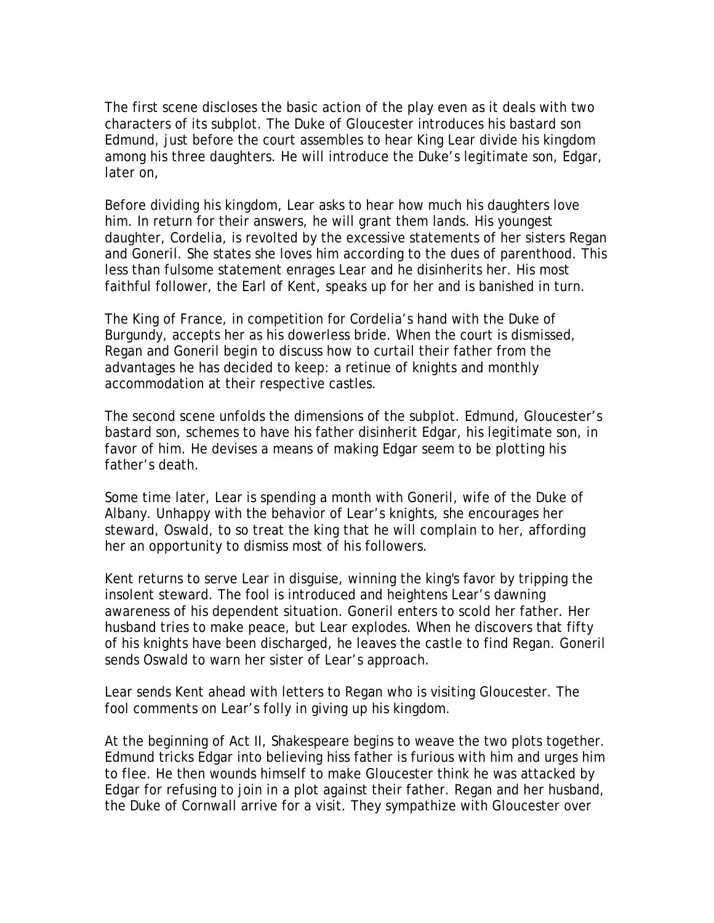The first scene discloses the basic action of the play even as it deals with two characters of its subplot. The Duke of Gloucester introduces his bastard son Edmund, just before the court assembles to hear King Lear divide his kingdom among his three daughters. He will introduce the Duke's legitimate son, Edgar, later on,

Before dividing his kingdom, Lear asks to hear how much his daughters love him. In return for their answers, he will grant them lands. His youngest daughter, Cordelia, is revolted by the excessive statements of her sisters Regan and Goneril. She states she loves him according to the dues of parenthood. This less than fulsome statement enrages Lear and he disinherits her. His most faithful follower, the Earl of Kent, speaks up for her and is banished in turn.

The King of France, in competition for Cordelia's hand with the Duke of Burgundy, accepts her as his dowerless bride. When the court is dismissed, Regan and Goneril begin to discuss how to curtail their father from the advantages he has decided to keep: a retinue of knights and monthly accommodation at their respective castles.

The second scene unfolds the dimensions of the subplot. Edmund, Gloucester's bastard son, schemes to have his father disinherit Edgar, his legitimate son, in favor of him. He devises a means of making Edgar seem to be plotting his father's death.

Some time later, Lear is spending a month with Goneril, wife of the Duke of Albany. Unhappy with the behavior of Lear's knights, she encourages her steward, Oswald, to so treat the king that he will complain to her, affording her an opportunity to dismiss most of his followers.

Kent returns to serve Lear in disguise, winning the king's favor by tripping the insolent steward. The fool is introduced and heightens Lear's dawning awareness of his dependent situation. Goneril enters to scold her father. Her husband tries to make peace, but Lear explodes. When he discovers that fifty of his knights have been discharged, he leaves the castle to find Regan. Goneril sends Oswald to warn her sister of Lear's approach.

Lear sends Kent ahead with letters to Regan who is visiting Gloucester. The fool comments on Lear's folly in giving up his kingdom.

At the beginning of Act II, Shakespeare begins to weave the two plots together. Edmund tricks Edgar into believing hiss father is furious with him and urges him to flee. He then wounds himself to make Gloucester think he was attacked by Edgar for refusing to join in a plot against their father. Regan and her husband, the Duke of Cornwall arrive for a visit. They sympathize with Gloucester over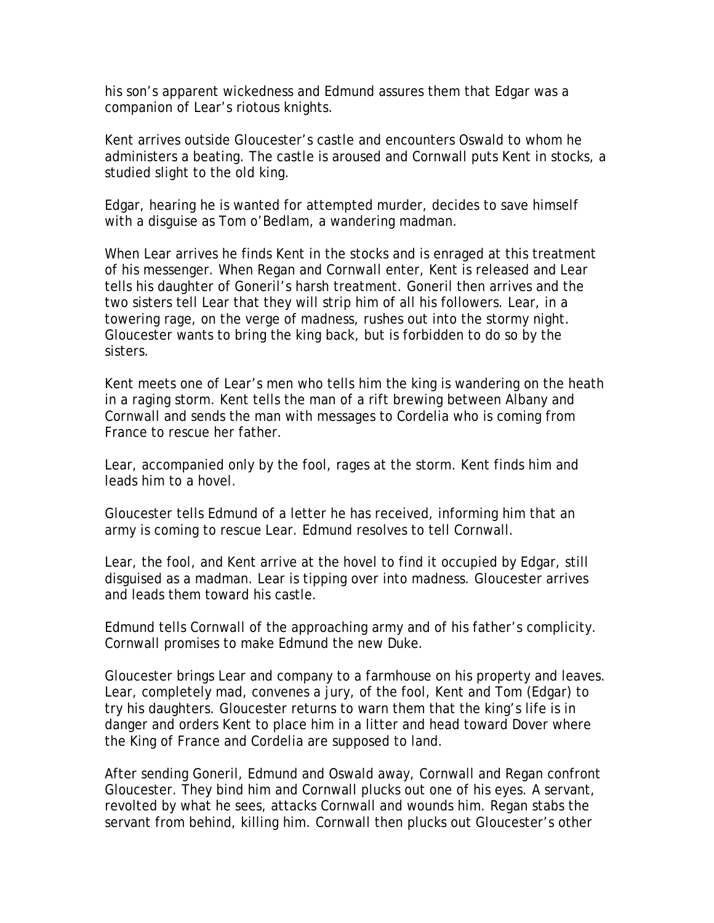his son's apparent wickedness and Edmund assures them that Edgar was a companion of Lear's riotous knights.

Kent arrives outside Gloucester's castle and encounters Oswald to whom he administers a beating. The castle is aroused and Cornwall puts Kent in stocks, a studied slight to the old king.

Edgar, hearing he is wanted for attempted murder, decides to save himself with a disguise as Tom o'Bedlam, a wandering madman.

When Lear arrives he finds Kent in the stocks and is enraged at this treatment of his messenger. When Regan and Cornwall enter, Kent is released and Lear tells his daughter of Goneril's harsh treatment. Goneril then arrives and the two sisters tell Lear that they will strip him of all his followers. Lear, in a towering rage, on the verge of madness, rushes out into the stormy night. Gloucester wants to bring the king back, but is forbidden to do so by the sisters.

Kent meets one of Lear's men who tells him the king is wandering on the heath in a raging storm. Kent tells the man of a rift brewing between Albany and Cornwall and sends the man with messages to Cordelia who is coming from France to rescue her father.

Lear, accompanied only by the fool, rages at the storm. Kent finds him and leads him to a hovel.

Gloucester tells Edmund of a letter he has received, informing him that an army is coming to rescue Lear. Edmund resolves to tell Cornwall.

Lear, the fool, and Kent arrive at the hovel to find it occupied by Edgar, still disguised as a madman. Lear is tipping over into madness. Gloucester arrives and leads them toward his castle.

Edmund tells Cornwall of the approaching army and of his father's complicity. Cornwall promises to make Edmund the new Duke.

Gloucester brings Lear and company to a farmhouse on his property and leaves. Lear, completely mad, convenes a jury, of the fool, Kent and Tom (Edgar) to try his daughters. Gloucester returns to warn them that the king's life is in danger and orders Kent to place him in a litter and head toward Dover where the King of France and Cordelia are supposed to land.

After sending Goneril, Edmund and Oswald away, Cornwall and Regan confront Gloucester. They bind him and Cornwall plucks out one of his eyes. A servant, revolted by what he sees, attacks Cornwall and wounds him. Regan stabs the servant from behind, killing him. Cornwall then plucks out Gloucester's other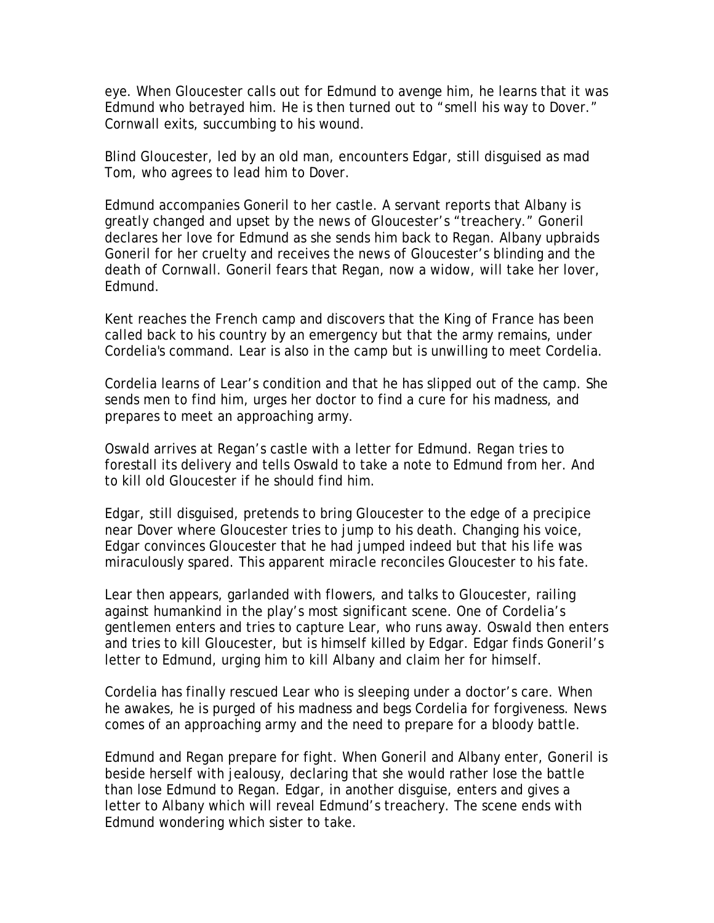eye. When Gloucester calls out for Edmund to avenge him, he learns that it was Edmund who betrayed him. He is then turned out to "smell his way to Dover." Cornwall exits, succumbing to his wound.

Blind Gloucester, led by an old man, encounters Edgar, still disguised as mad Tom, who agrees to lead him to Dover.

Edmund accompanies Goneril to her castle. A servant reports that Albany is greatly changed and upset by the news of Gloucester's "treachery." Goneril declares her love for Edmund as she sends him back to Regan. Albany upbraids Goneril for her cruelty and receives the news of Gloucester's blinding and the death of Cornwall. Goneril fears that Regan, now a widow, will take her lover, Edmund.

Kent reaches the French camp and discovers that the King of France has been called back to his country by an emergency but that the army remains, under Cordelia's command. Lear is also in the camp but is unwilling to meet Cordelia.

Cordelia learns of Lear's condition and that he has slipped out of the camp. She sends men to find him, urges her doctor to find a cure for his madness, and prepares to meet an approaching army.

Oswald arrives at Regan's castle with a letter for Edmund. Regan tries to forestall its delivery and tells Oswald to take a note to Edmund from her. And to kill old Gloucester if he should find him.

Edgar, still disguised, pretends to bring Gloucester to the edge of a precipice near Dover where Gloucester tries to jump to his death. Changing his voice, Edgar convinces Gloucester that he had jumped indeed but that his life was miraculously spared. This apparent miracle reconciles Gloucester to his fate.

Lear then appears, garlanded with flowers, and talks to Gloucester, railing against humankind in the play's most significant scene. One of Cordelia's gentlemen enters and tries to capture Lear, who runs away. Oswald then enters and tries to kill Gloucester, but is himself killed by Edgar. Edgar finds Goneril's letter to Edmund, urging him to kill Albany and claim her for himself.

Cordelia has finally rescued Lear who is sleeping under a doctor's care. When he awakes, he is purged of his madness and begs Cordelia for forgiveness. News comes of an approaching army and the need to prepare for a bloody battle.

Edmund and Regan prepare for fight. When Goneril and Albany enter, Goneril is beside herself with jealousy, declaring that she would rather lose the battle than lose Edmund to Regan. Edgar, in another disguise, enters and gives a letter to Albany which will reveal Edmund's treachery. The scene ends with Edmund wondering which sister to take.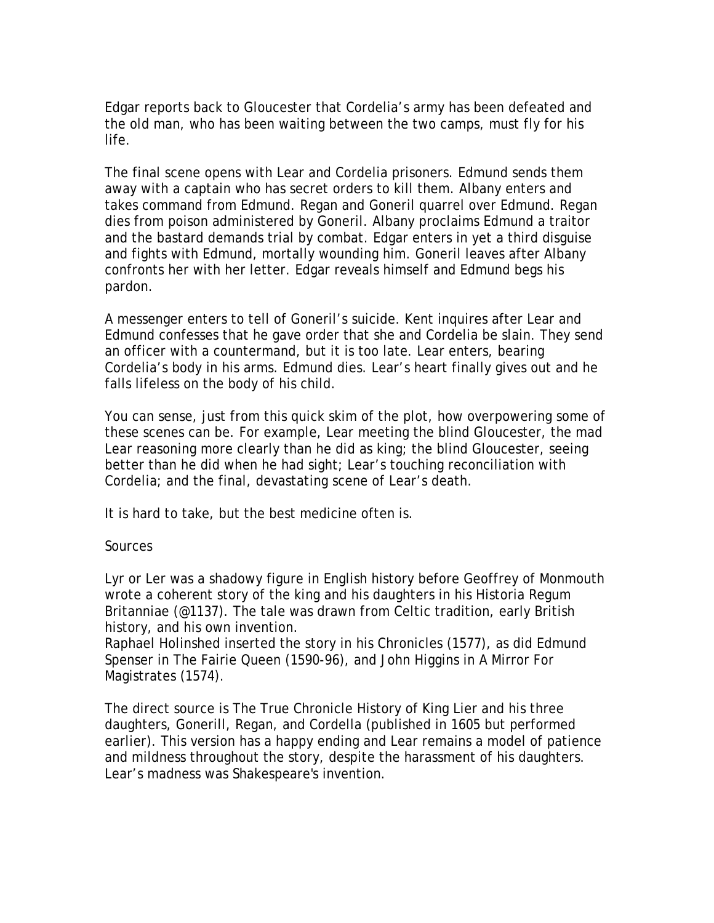Edgar reports back to Gloucester that Cordelia's army has been defeated and the old man, who has been waiting between the two camps, must fly for his life.

The final scene opens with Lear and Cordelia prisoners. Edmund sends them away with a captain who has secret orders to kill them. Albany enters and takes command from Edmund. Regan and Goneril quarrel over Edmund. Regan dies from poison administered by Goneril. Albany proclaims Edmund a traitor and the bastard demands trial by combat. Edgar enters in yet a third disguise and fights with Edmund, mortally wounding him. Goneril leaves after Albany confronts her with her letter. Edgar reveals himself and Edmund begs his pardon.

A messenger enters to tell of Goneril's suicide. Kent inquires after Lear and Edmund confesses that he gave order that she and Cordelia be slain. They send an officer with a countermand, but it is too late. Lear enters, bearing Cordelia's body in his arms. Edmund dies. Lear's heart finally gives out and he falls lifeless on the body of his child.

You can sense, just from this quick skim of the plot, how overpowering some of these scenes can be. For example, Lear meeting the blind Gloucester, the mad Lear reasoning more clearly than he did as king; the blind Gloucester, seeing better than he did when he had sight; Lear's touching reconciliation with Cordelia; and the final, devastating scene of Lear's death.

It is hard to take, but the best medicine often is.

## **Sources**

Lyr or Ler was a shadowy figure in English history before Geoffrey of Monmouth wrote a coherent story of the king and his daughters in his Historia Regum Britanniae (@1137). The tale was drawn from Celtic tradition, early British history, and his own invention.

Raphael Holinshed inserted the story in his Chronicles (1577), as did Edmund Spenser in The Fairie Queen (1590-96), and John Higgins in A Mirror For Magistrates (1574).

The direct source is The True Chronicle History of King Lier and his three daughters, Gonerill, Regan, and Cordella (published in 1605 but performed earlier). This version has a happy ending and Lear remains a model of patience and mildness throughout the story, despite the harassment of his daughters. Lear's madness was Shakespeare's invention.